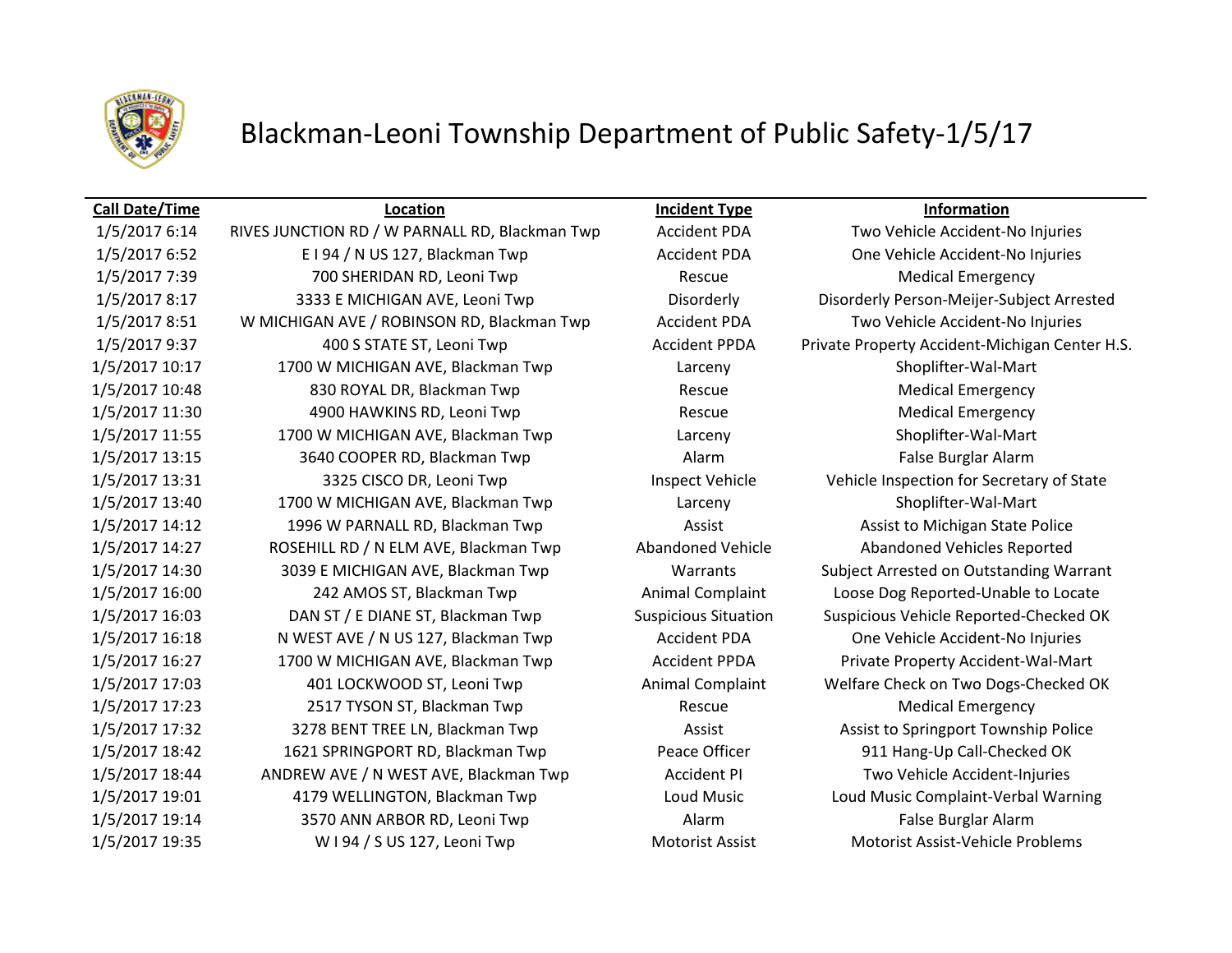

## Blackman-Leoni Township Department of Public Safety-1/5/17

### **Call Date/Time Location Incident Type Information**

1/5/2017 6:14 RIVES JUNCTION RD / W PARNALL RD, Blackman Twp Accident PDA Two Vehicle Accident-No Injuries 1/5/2017 6:52 E I 94 / N US 127, Blackman Twp **Accident PDA** One Vehicle Accident-No Injuries 1/5/2017 7:39 200 SHERIDAN RD, Leoni Twp Rescue Rescue Medical Emergency 1/5/2017 8:17 3333 E MICHIGAN AVE, Leoni Twp Disorderly Disorderly Person-Meijer-Subject Arrested 1/5/2017 8:51 W MICHIGAN AVE / ROBINSON RD, Blackman Twp Accident PDA Two Vehicle Accident-No Injuries 1/5/2017 9:37 400 S STATE ST, Leoni Twp Accident PPDA Private Property Accident-Michigan Center H.S. 1/5/2017 10:17 1700 W MICHIGAN AVE, Blackman Twp Larceny Shoplifter-Wal-Mart 1/5/2017 10:48 830 ROYAL DR, Blackman Twp Rescue Rescue Medical Emergency 1/5/2017 11:30 4900 HAWKINS RD, Leoni Twp Rescue Rescue Medical Emergency 1/5/2017 11:55 1700 W MICHIGAN AVE, Blackman Twp Larceny Shoplifter-Wal-Mart 1/5/2017 13:15 3640 COOPER RD, Blackman Twp **Alarm Alarm False Burglar Alarm** False Burglar Alarm 1/5/2017 13:31 3325 CISCO DR, Leoni Twp Inspect Vehicle Vehicle Inspection for Secretary of State 1/5/2017 13:40 1700 W MICHIGAN AVE, Blackman Twp Larceny Shoplifter-Wal-Mart 1/5/2017 14:12 1996 W PARNALL RD, Blackman Twp **Assist Assist Assist to Michigan State Police** 1/5/2017 14:27 ROSEHILL RD / N ELM AVE, Blackman Twp Abandoned Vehicle Abandoned Vehicles Reported 1/5/2017 14:30 3039 E MICHIGAN AVE, Blackman Twp Warrants Subject Arrested on Outstanding Warrant 1/5/2017 16:00 242 AMOS ST, Blackman Twp Animal Complaint Loose Dog Reported-Unable to Locate 1/5/2017 16:03 DAN ST / E DIANE ST, Blackman Twp Suspicious Situation Suspicious Vehicle Reported-Checked OK 1/5/2017 16:18 N WEST AVE / N US 127, Blackman Twp Accident PDA One Vehicle Accident-No Injuries 1/5/2017 16:27 1700 W MICHIGAN AVE, Blackman Twp Accident PPDA Private Property Accident-Wal-Mart 1/5/2017 17:03 401 LOCKWOOD ST, Leoni Twp Animal Complaint Welfare Check on Two Dogs-Checked OK 1/5/2017 17:23 2517 TYSON ST, Blackman Twp Rescue Medical Emergency 1/5/2017 17:32 3278 BENT TREE LN, Blackman Twp **Assist Assist Assist to Springport Township Police** 1/5/2017 18:42 1621 SPRINGPORT RD, Blackman Twp Peace Officer 911 Hang-Up Call-Checked OK 1/5/2017 18:44 ANDREW AVE / N WEST AVE, Blackman Twp Accident PI Two Vehicle Accident-Injuries 1/5/2017 19:01 4179 WELLINGTON, Blackman Twp Loud Music Loud Music Complaint-Verbal Warning 1/5/2017 19:14 3570 ANN ARBOR RD, Leoni Twp Alarm Alarm Ralse Burglar Alarm 1/5/2017 19:35 W I 94 / S US 127, Leoni Twp Motorist Assist Motorist Assist Motorist Assist-Vehicle Problems